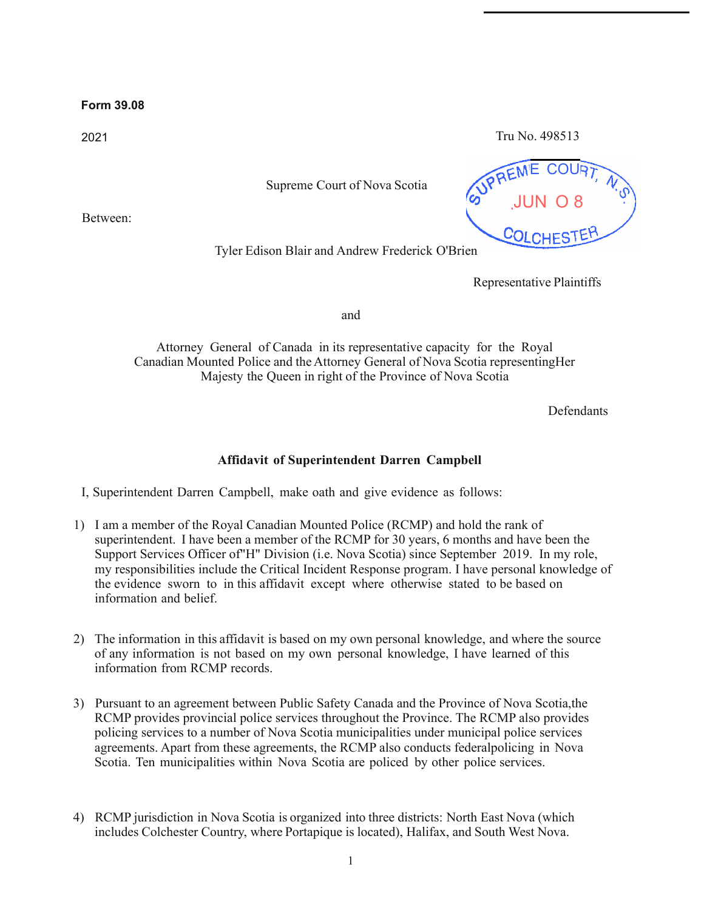## **Form 39.08**

2021 Tru No. 498513

Supreme Court of Nova Scotia

Between:



Tyler Edison Blair and Andrew Frederick O'Brien

Representative Plaintiffs

and

Attorney General of Canada in its representative capacity for the Royal Canadian Mounted Police and the Attorney General of Nova Scotia representingHer Majesty the Queen in right of the Province of Nova Scotia

Defendants

## **Affidavit of Superintendent Darren Campbell**

I, Superintendent Darren Campbell, make oath and give evidence as follows:

- 1) I am a member of the Royal Canadian Mounted Police (RCMP) and hold the rank of superintendent. I have been a member of the RCMP for 30 years, 6 months and have been the Support Services Officer of"H" Division (i.e. Nova Scotia) since September 2019. In my role, my responsibilities include the Critical Incident Response program. I have personal knowledge of the evidence sworn to in this affidavit except where otherwise stated to be based on information and belief.
- 2) The information in this affidavit is based on my own personal knowledge, and where the source of any information is not based on my own personal knowledge, I have learned of this information from RCMP records.
- 3) Pursuant to an agreement between Public Safety Canada and the Province of Nova Scotia,the RCMP provides provincial police services throughout the Province. The RCMP also provides policing services to a number of Nova Scotia municipalities under municipal police services agreements. Apart from these agreements, the RCMP also conducts federalpolicing in Nova Scotia. Ten municipalities within Nova Scotia are policed by other police services.
- 4) RCMP jurisdiction in Nova Scotia is organized into three districts: North East Nova (which includes Colchester Country, where Portapique is located), Halifax, and South West Nova.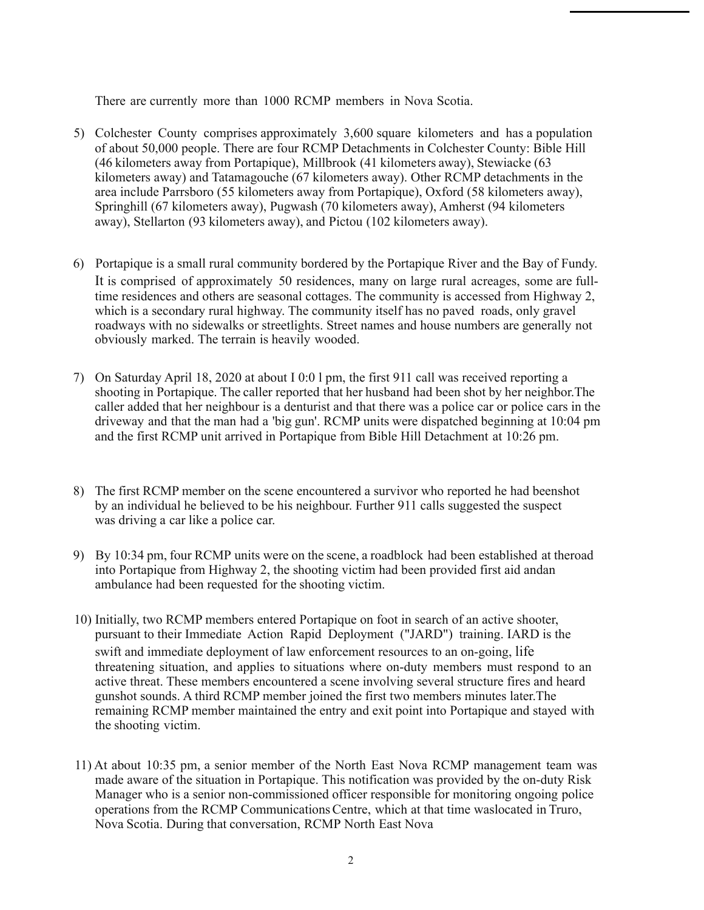There are currently more than 1000 RCMP members in Nova Scotia.

- 5) Colchester County comprises approximately 3,600 square kilometers and has a population of about 50,000 people. There are four RCMP Detachments in Colchester County: Bible Hill (46 kilometers away from Portapique), Millbrook (41 kilometers away), Stewiacke (63 kilometers away) and Tatamagouche (67 kilometers away). Other RCMP detachments in the area include Parrsboro (55 kilometers away from Portapique), Oxford (58 kilometers away), Springhill (67 kilometers away), Pugwash (70 kilometers away), Amherst (94 kilometers away), Stellarton (93 kilometers away), and Pictou (102 kilometers away).
- 6) Portapique is a small rural community bordered by the Portapique River and the Bay of Fundy. It is comprised of approximately 50 residences, many on large rural acreages, some are fulltime residences and others are seasonal cottages. The community is accessed from Highway 2, which is a secondary rural highway. The community itself has no paved roads, only gravel roadways with no sidewalks or streetlights. Street names and house numbers are generally not obviously marked. The terrain is heavily wooded.
- 7) On Saturday April 18, 2020 at about I 0:0 l pm, the first 911 call was received reporting a shooting in Portapique. The caller reported that her husband had been shot by her neighbor.The caller added that her neighbour is a denturist and that there was a police car or police cars in the driveway and that the man had a 'big gun'. RCMP units were dispatched beginning at 10:04 pm and the first RCMP unit arrived in Portapique from Bible Hill Detachment at 10:26 pm.
- 8) The first RCMP member on the scene encountered a survivor who reported he had beenshot by an individual he believed to be his neighbour. Further 911 calls suggested the suspect was driving a car like a police car.
- 9) By 10:34 pm, four RCMP units were on the scene, a roadblock had been established at theroad into Portapique from Highway 2, the shooting victim had been provided first aid andan ambulance had been requested for the shooting victim.
- 10) Initially, two RCMP members entered Portapique on foot in search of an active shooter, pursuant to their Immediate Action Rapid Deployment ("JARD") training. IARD is the swift and immediate deployment of law enforcement resources to an on-going, life threatening situation, and applies to situations where on-duty members must respond to an active threat. These members encountered a scene involving several structure fires and heard gunshot sounds. A third RCMP member joined the first two members minutes later.The remaining RCMP member maintained the entry and exit point into Portapique and stayed with the shooting victim.
- 11) At about 10:35 pm, a senior member of the North East Nova RCMP management team was made aware of the situation in Portapique. This notification was provided by the on-duty Risk Manager who is a senior non-commissioned officer responsible for monitoring ongoing police operations from the RCMP CommunicationsCentre, which at that time waslocated in Truro, Nova Scotia. During that conversation, RCMP North East Nova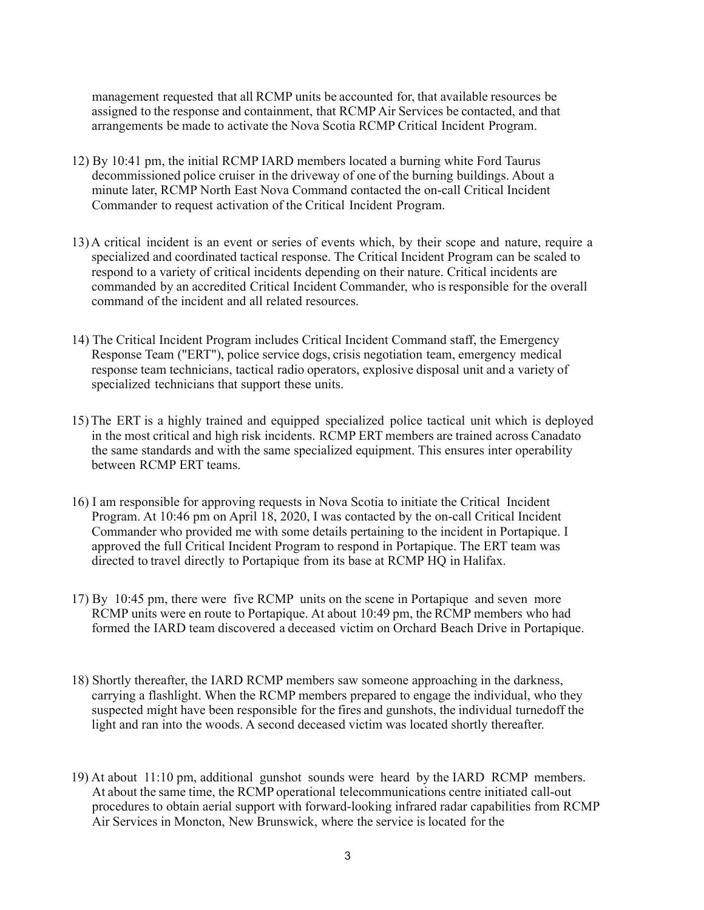management requested that all RCMP units be accounted for, that available resources be assigned to the response and containment, that RCMP Air Services be contacted, and that arrangements be made to activate the Nova Scotia RCMP Critical Incident Program.

- 12) By 10:41 pm, the initial RCMP IARD members located a burning white Ford Taurus decommissioned police cruiser in the driveway of one of the burning buildings. About a minute later, RCMP North East Nova Command contacted the on-call Critical Incident Commander to request activation of the Critical Incident Program.
- 13) A critical incident is an event or series of events which, by their scope and nature, require a specialized and coordinated tactical response. The Critical Incident Program can be scaled to respond to a variety of critical incidents depending on their nature. Critical incidents are commanded by an accredited Critical Incident Commander, who isresponsible for the overall command of the incident and all related resources.
- 14) The Critical Incident Program includes Critical Incident Command staff, the Emergency Response Team ("ERT"), police service dogs, crisis negotiation team, emergency medical response team technicians, tactical radio operators, explosive disposal unit and a variety of specialized technicians that support these units.
- 15)The ERT is a highly trained and equipped specialized police tactical unit which is deployed in the most critical and high risk incidents. RCMP ERT members are trained across Canadato the same standards and with the same specialized equipment. This ensures inter operability between RCMP ERT teams.
- 16) I am responsible for approving requests in Nova Scotia to initiate the Critical Incident Program. At 10:46 pm on April 18, 2020, I was contacted by the on-call Critical Incident Commander who provided me with some details pertaining to the incident in Portapique. I approved the full Critical Incident Program to respond in Portapique. The ERT team was directed to travel directly to Portapique from its base at RCMP HQ in Halifax.
- 17) By 10:45 pm, there were five RCMP units on the scene in Portapique and seven more RCMP units were en route to Portapique. At about 10:49 pm, the RCMP members who had formed the IARD team discovered a deceased victim on Orchard Beach Drive in Portapique.
- 18) Shortly thereafter, the IARD RCMP members saw someone approaching in the darkness, carrying a flashlight. When the RCMP members prepared to engage the individual, who they suspected might have been responsible for the fires and gunshots, the individual turnedoff the light and ran into the woods. A second deceased victim was located shortly thereafter.
- 19) At about 11:10 pm, additional gunshot sounds were heard by the IARD RCMP members. At about the same time, the RCMP operational telecommunications centre initiated call-out procedures to obtain aerial support with forward-looking infrared radar capabilities from RCMP Air Services in Moncton, New Brunswick, where the service is located for the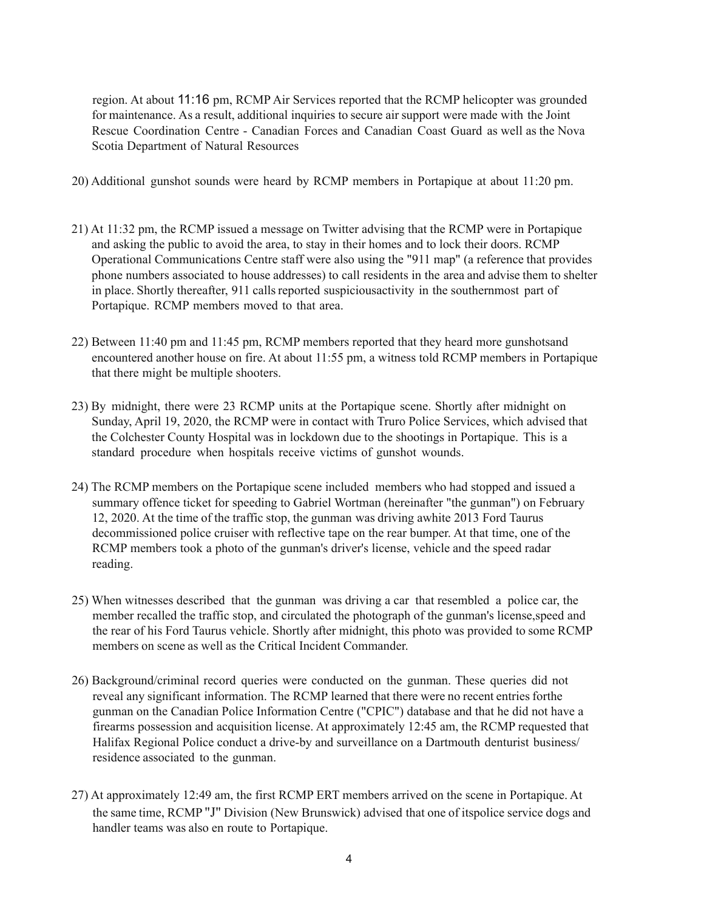region. At about 11:16 pm, RCMP Air Services reported that the RCMP helicopter was grounded for maintenance. As a result, additional inquiries to secure air support were made with the Joint Rescue Coordination Centre - Canadian Forces and Canadian Coast Guard as well as the Nova Scotia Department of Natural Resources

- 20) Additional gunshot sounds were heard by RCMP members in Portapique at about 11:20 pm.
- 21) At 11:32 pm, the RCMP issued a message on Twitter advising that the RCMP were in Portapique and asking the public to avoid the area, to stay in their homes and to lock their doors. RCMP Operational Communications Centre staff were also using the "911 map" (a reference that provides phone numbers associated to house addresses) to call residents in the area and advise them to shelter in place. Shortly thereafter, 911 callsreported suspiciousactivity in the southernmost part of Portapique. RCMP members moved to that area.
- 22) Between 11:40 pm and 11:45 pm, RCMP members reported that they heard more gunshotsand encountered another house on fire. At about 11:55 pm, a witness told RCMP members in Portapique that there might be multiple shooters.
- 23) By midnight, there were 23 RCMP units at the Portapique scene. Shortly after midnight on Sunday, April 19, 2020, the RCMP were in contact with Truro Police Services, which advised that the Colchester County Hospital was in lockdown due to the shootings in Portapique. This is a standard procedure when hospitals receive victims of gunshot wounds.
- 24) The RCMP members on the Portapique scene included members who had stopped and issued a summary offence ticket for speeding to Gabriel Wortman (hereinafter "the gunman") on February 12, 2020. At the time of the traffic stop, the gunman was driving awhite 2013 Ford Taurus decommissioned police cruiser with reflective tape on the rear bumper. At that time, one of the RCMP members took a photo of the gunman's driver's license, vehicle and the speed radar reading.
- 25) When witnesses described that the gunman was driving a car that resembled a police car, the member recalled the traffic stop, and circulated the photograph of the gunman's license,speed and the rear of his Ford Taurus vehicle. Shortly after midnight, this photo was provided to some RCMP members on scene as well as the Critical Incident Commander.
- 26) Background/criminal record queries were conducted on the gunman. These queries did not reveal any significant information. The RCMP learned that there were no recent entries forthe gunman on the Canadian Police Information Centre ("CPIC") database and that he did not have a firearms possession and acquisition license. At approximately 12:45 am, the RCMP requested that Halifax Regional Police conduct a drive-by and surveillance on a Dartmouth denturist business/ residence associated to the gunman.
- 27) At approximately 12:49 am, the first RCMP ERT members arrived on the scene in Portapique. At the same time, RCMP "J" Division (New Brunswick) advised that one of itspolice service dogs and handler teams was also en route to Portapique.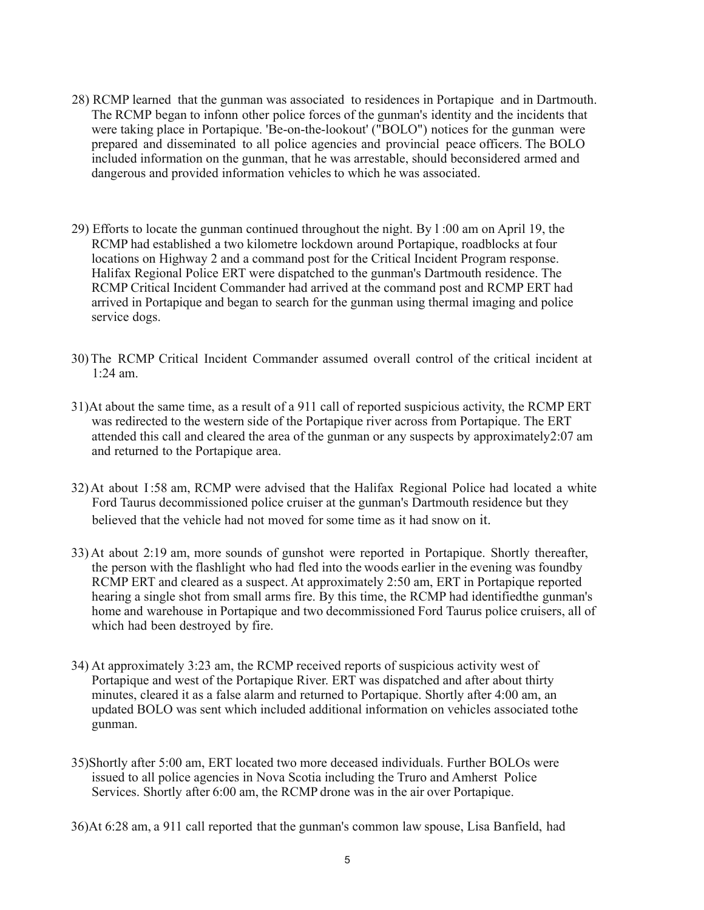- 28) RCMP learned that the gunman was associated to residences in Portapique and in Dartmouth. The RCMP began to infonn other police forces of the gunman's identity and the incidents that were taking place in Portapique. 'Be-on-the-lookout' ("BOLO") notices for the gunman were prepared and disseminated to all police agencies and provincial peace officers. The BOLO included information on the gunman, that he was arrestable, should beconsidered armed and dangerous and provided information vehicles to which he was associated.
- 29) Efforts to locate the gunman continued throughout the night. By l :00 am on April 19, the RCMP had established a two kilometre lockdown around Portapique, roadblocks at four locations on Highway 2 and a command post for the Critical Incident Program response. Halifax Regional Police ERT were dispatched to the gunman's Dartmouth residence. The RCMP Critical Incident Commander had arrived at the command post and RCMP ERT had arrived in Portapique and began to search for the gunman using thermal imaging and police service dogs.
- 30)The RCMP Critical Incident Commander assumed overall control of the critical incident at 1:24 am.
- 31)At about the same time, as a result of a 911 call of reported suspicious activity, the RCMP ERT was redirected to the western side of the Portapique river across from Portapique. The ERT attended this call and cleared the area of the gunman or any suspects by approximately2:07 am and returned to the Portapique area.
- 32)At about I:58 am, RCMP were advised that the Halifax Regional Police had located a white Ford Taurus decommissioned police cruiser at the gunman's Dartmouth residence but they believed that the vehicle had not moved for some time as it had snow on it.
- 33)At about 2:19 am, more sounds of gunshot were reported in Portapique. Shortly thereafter, the person with the flashlight who had fled into the woods earlier in the evening was foundby RCMP ERT and cleared as a suspect. At approximately 2:50 am, ERT in Portapique reported hearing a single shot from small arms fire. By this time, the RCMP had identifiedthe gunman's home and warehouse in Portapique and two decommissioned Ford Taurus police cruisers, all of which had been destroyed by fire.
- 34) At approximately 3:23 am, the RCMP received reports of suspicious activity west of Portapique and west of the Portapique River. ERT was dispatched and after about thirty minutes, cleared it as a false alarm and returned to Portapique. Shortly after 4:00 am, an updated BOLO was sent which included additional information on vehicles associated tothe gunman.
- 35)Shortly after 5:00 am, ERT located two more deceased individuals. Further BOLOs were issued to all police agencies in Nova Scotia including the Truro and Amherst Police Services. Shortly after 6:00 am, the RCMP drone was in the air over Portapique.
- 36)At 6:28 am, a 911 call reported that the gunman's common law spouse, Lisa Banfield, had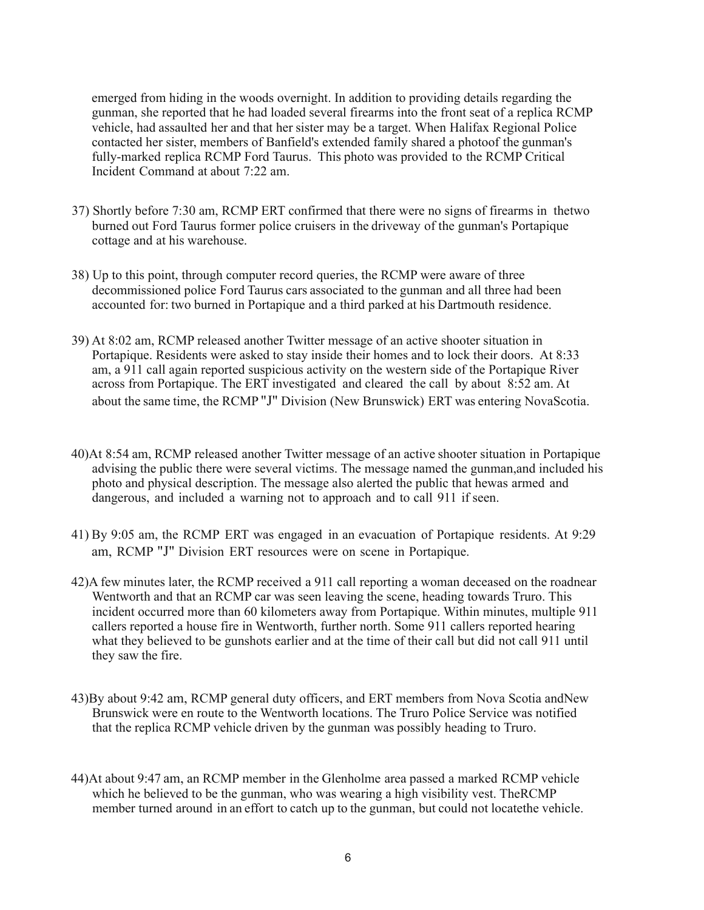emerged from hiding in the woods overnight. In addition to providing details regarding the gunman, she reported that he had loaded several firearms into the front seat of a replica RCMP vehicle, had assaulted her and that her sister may be a target. When Halifax Regional Police contacted her sister, members of Banfield's extended family shared a photoof the gunman's fully-marked replica RCMP Ford Taurus. This photo was provided to the RCMP Critical Incident Command at about 7:22 am.

- 37) Shortly before 7:30 am, RCMP ERT confirmed that there were no signs of firearms in thetwo burned out Ford Taurus former police cruisers in the driveway of the gunman's Portapique cottage and at his warehouse.
- 38) Up to this point, through computer record queries, the RCMP were aware of three decommissioned police Ford Taurus cars associated to the gunman and all three had been accounted for: two burned in Portapique and a third parked at his Dartmouth residence.
- 39) At 8:02 am, RCMP released another Twitter message of an active shooter situation in Portapique. Residents were asked to stay inside their homes and to lock their doors. At 8:33 am, a 911 call again reported suspicious activity on the western side of the Portapique River across from Portapique. The ERT investigated and cleared the call by about 8:52 am. At about the same time, the RCMP "J" Division (New Brunswick) ERT was entering NovaScotia.
- 40)At 8:54 am, RCMP released another Twitter message of an active shooter situation in Portapique advising the public there were several victims. The message named the gunman,and included his photo and physical description. The message also alerted the public that hewas armed and dangerous, and included a warning not to approach and to call 911 if seen.
- 41) By 9:05 am, the RCMP ERT was engaged in an evacuation of Portapique residents. At 9:29 am, RCMP "J" Division ERT resources were on scene in Portapique.
- 42)A few minutes later, the RCMP received a 911 call reporting a woman deceased on the roadnear Wentworth and that an RCMP car was seen leaving the scene, heading towards Truro. This incident occurred more than 60 kilometers away from Portapique. Within minutes, multiple 911 callers reported a house fire in Wentworth, further north. Some 911 callers reported hearing what they believed to be gunshots earlier and at the time of their call but did not call 911 until they saw the fire.
- 43)By about 9:42 am, RCMP general duty officers, and ERT members from Nova Scotia andNew Brunswick were en route to the Wentworth locations. The Truro Police Service was notified that the replica RCMP vehicle driven by the gunman was possibly heading to Truro.
- 44)At about 9:47 am, an RCMP member in the Glenholme area passed a marked RCMP vehicle which he believed to be the gunman, who was wearing a high visibility vest. TheRCMP member turned around in an effort to catch up to the gunman, but could not locatethe vehicle.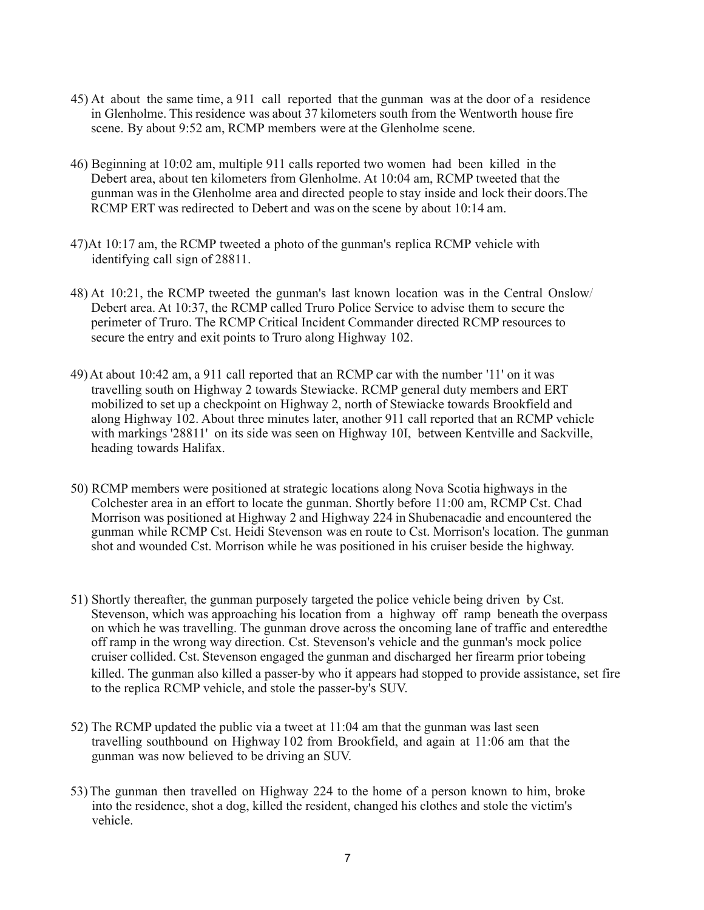- 45) At about the same time, a 911 call reported that the gunman was at the door of a residence in Glenholme. This residence was about 37 kilometers south from the Wentworth house fire scene. By about 9:52 am, RCMP members were at the Glenholme scene.
- 46) Beginning at 10:02 am, multiple 911 calls reported two women had been killed in the Debert area, about ten kilometers from Glenholme. At 10:04 am, RCMP tweeted that the gunman was in the Glenholme area and directed people to stay inside and lock their doors.The RCMP ERT was redirected to Debert and was on the scene by about 10:14 am.
- 47)At 10:17 am, the RCMP tweeted a photo of the gunman's replica RCMP vehicle with identifying call sign of 28811.
- 48) At 10:21, the RCMP tweeted the gunman's last known location was in the Central Onslow/ Debert area. At 10:37, the RCMP called Truro Police Service to advise them to secure the perimeter of Truro. The RCMP Critical Incident Commander directed RCMP resources to secure the entry and exit points to Truro along Highway 102.
- 49)At about 10:42 am, a 911 call reported that an RCMP car with the number '11' on it was travelling south on Highway 2 towards Stewiacke. RCMP general duty members and ERT mobilized to set up a checkpoint on Highway 2, north of Stewiacke towards Brookfield and along Highway 102. About three minutes later, another 911 call reported that an RCMP vehicle with markings '28811' on its side was seen on Highway 10I, between Kentville and Sackville, heading towards Halifax.
- 50) RCMP members were positioned at strategic locations along Nova Scotia highways in the Colchester area in an effort to locate the gunman. Shortly before 11:00 am, RCMP Cst. Chad Morrison was positioned at Highway 2 and Highway 224 in Shubenacadie and encountered the gunman while RCMP Cst. Heidi Stevenson was en route to Cst. Morrison's location. The gunman shot and wounded Cst. Morrison while he was positioned in his cruiser beside the highway.
- 51) Shortly thereafter, the gunman purposely targeted the police vehicle being driven by Cst. Stevenson, which was approaching his location from a highway off ramp beneath the overpass on which he was travelling. The gunman drove across the oncoming lane of traffic and enteredthe off ramp in the wrong way direction. Cst. Stevenson's vehicle and the gunman's mock police cruiser collided. Cst. Stevenson engaged the gunman and discharged her firearm prior tobeing killed. The gunman also killed a passer-by who it appears had stopped to provide assistance, set fire to the replica RCMP vehicle, and stole the passer-by's SUV.
- 52) The RCMP updated the public via a tweet at 11:04 am that the gunman was last seen travelling southbound on Highway l 02 from Brookfield, and again at 11:06 am that the gunman was now believed to be driving an SUV.
- 53)The gunman then travelled on Highway 224 to the home of a person known to him, broke into the residence, shot a dog, killed the resident, changed his clothes and stole the victim's vehicle.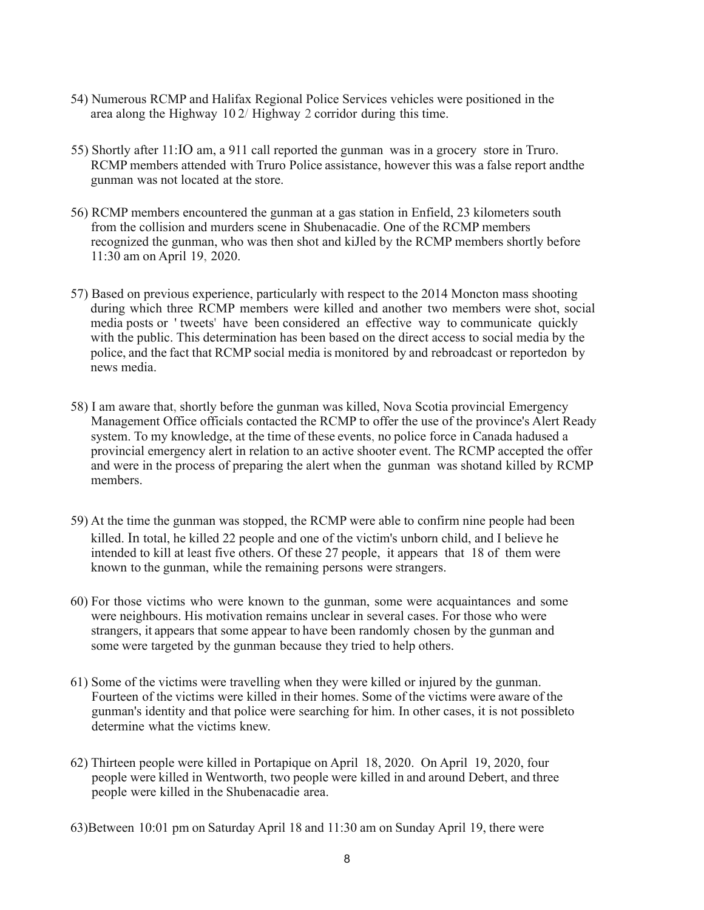- 54) Numerous RCMP and Halifax Regional Police Services vehicles were positioned in the area along the Highway 10 2/ Highway 2 corridor during this time.
- 55) Shortly after 11:IO am, a 911 call reported the gunman was in a grocery store in Truro. RCMP members attended with Truro Police assistance, however this was a false report andthe gunman was not located at the store.
- 56) RCMP members encountered the gunman at a gas station in Enfield, 23 kilometers south from the collision and murders scene in Shubenacadie. One of the RCMP members recognized the gunman, who was then shot and kiJled by the RCMP members shortly before 11:30 am on April 19, 2020.
- 57) Based on previous experience, particularly with respect to the 2014 Moncton mass shooting during which three RCMP members were killed and another two members were shot, social media posts or ' tweets' have been considered an effective way to communicate quickly with the public. This determination has been based on the direct access to social media by the police, and the fact that RCMP social media is monitored by and rebroadcast or reportedon by news media.
- 58) I am aware that, shortly before the gunman was killed, Nova Scotia provincial Emergency Management Office officials contacted the RCMP to offer the use of the province's Alert Ready system. To my knowledge, at the time of these events, no police force in Canada hadused a provincial emergency alert in relation to an active shooter event. The RCMP accepted the offer and were in the process of preparing the alert when the gunman was shotand killed by RCMP members.
- 59) At the time the gunman was stopped, the RCMP were able to confirm nine people had been killed. In total, he killed 22 people and one of the victim's unborn child, and I believe he intended to kill at least five others. Of these 27 people, it appears that 18 of them were known to the gunman, while the remaining persons were strangers.
- 60) For those victims who were known to the gunman, some were acquaintances and some were neighbours. His motivation remains unclear in several cases. For those who were strangers, it appears that some appear to have been randomly chosen by the gunman and some were targeted by the gunman because they tried to help others.
- 61) Some of the victims were travelling when they were killed or injured by the gunman. Fourteen of the victims were killed in their homes. Some of the victims were aware of the gunman's identity and that police were searching for him. In other cases, it is not possibleto determine what the victims knew.
- 62) Thirteen people were killed in Portapique on April 18, 2020. On April 19, 2020, four people were killed in Wentworth, two people were killed in and around Debert, and three people were killed in the Shubenacadie area.
- 63)Between 10:01 pm on Saturday April 18 and 11:30 am on Sunday April 19, there were